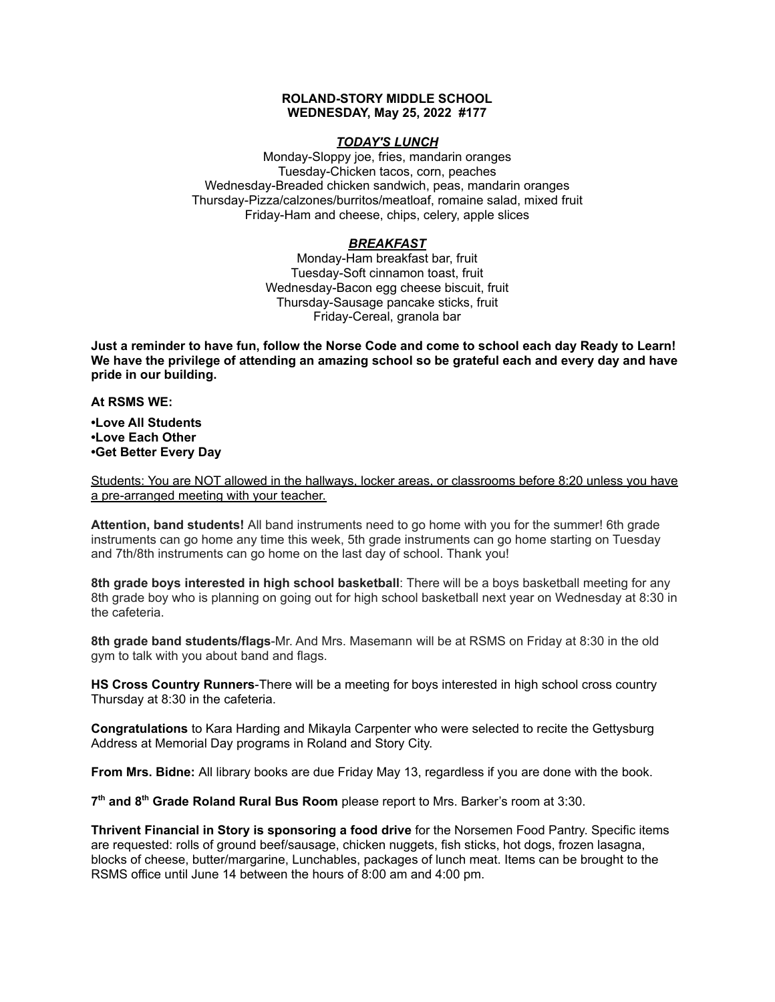## **ROLAND-STORY MIDDLE SCHOOL WEDNESDAY, May 25, 2022 #177**

## *TODAY'S LUNCH*

Monday-Sloppy joe, fries, mandarin oranges Tuesday-Chicken tacos, corn, peaches Wednesday-Breaded chicken sandwich, peas, mandarin oranges Thursday-Pizza/calzones/burritos/meatloaf, romaine salad, mixed fruit Friday-Ham and cheese, chips, celery, apple slices

## *BREAKFAST*

Monday-Ham breakfast bar, fruit Tuesday-Soft cinnamon toast, fruit Wednesday-Bacon egg cheese biscuit, fruit Thursday-Sausage pancake sticks, fruit Friday-Cereal, granola bar

Just a reminder to have fun, follow the Norse Code and come to school each day Ready to Learn! **We have the privilege of attending an amazing school so be grateful each and every day and have pride in our building.**

**At RSMS WE:**

**•Love All Students •Love Each Other •Get Better Every Day**

Students: You are NOT allowed in the hallways, locker areas, or classrooms before 8:20 unless you have a pre-arranged meeting with your teacher.

**Attention, band students!** All band instruments need to go home with you for the summer! 6th grade instruments can go home any time this week, 5th grade instruments can go home starting on Tuesday and 7th/8th instruments can go home on the last day of school. Thank you!

**8th grade boys interested in high school basketball**: There will be a boys basketball meeting for any 8th grade boy who is planning on going out for high school basketball next year on Wednesday at 8:30 in the cafeteria.

**8th grade band students/flags**-Mr. And Mrs. Masemann will be at RSMS on Friday at 8:30 in the old gym to talk with you about band and flags.

**HS Cross Country Runners**-There will be a meeting for boys interested in high school cross country Thursday at 8:30 in the cafeteria.

**Congratulations** to Kara Harding and Mikayla Carpenter who were selected to recite the Gettysburg Address at Memorial Day programs in Roland and Story City.

**From Mrs. Bidne:** All library books are due Friday May 13, regardless if you are done with the book.

**7 th and 8 th Grade Roland Rural Bus Room** please report to Mrs. Barker's room at 3:30.

**Thrivent Financial in Story is sponsoring a food drive** for the Norsemen Food Pantry. Specific items are requested: rolls of ground beef/sausage, chicken nuggets, fish sticks, hot dogs, frozen lasagna, blocks of cheese, butter/margarine, Lunchables, packages of lunch meat. Items can be brought to the RSMS office until June 14 between the hours of 8:00 am and 4:00 pm.